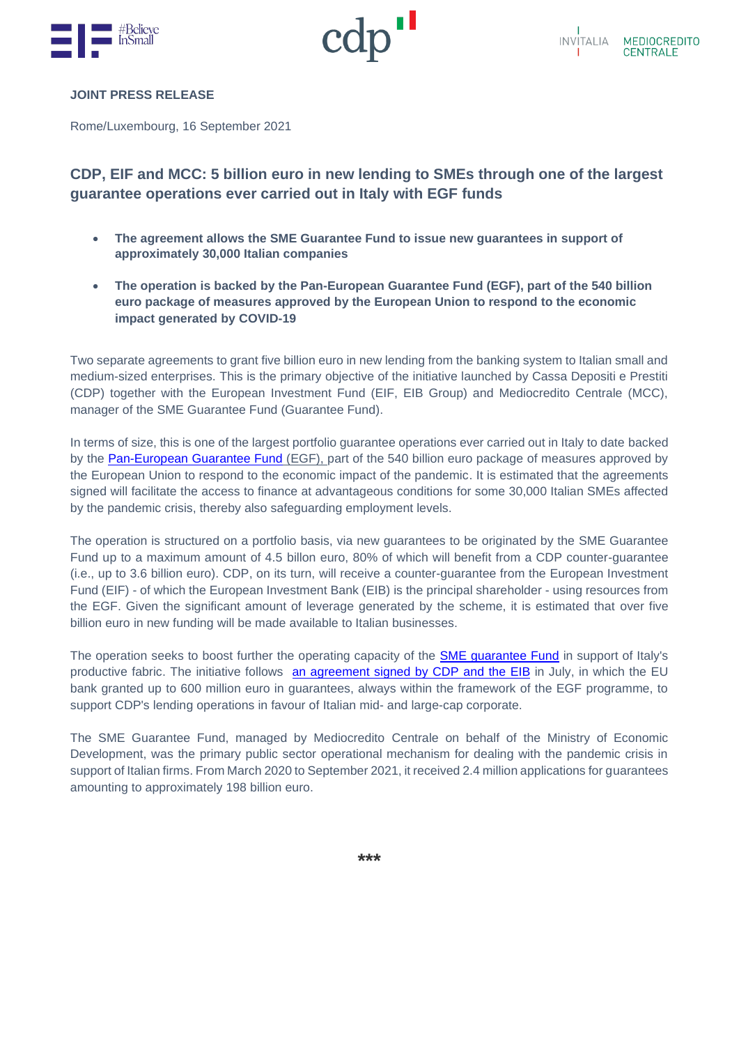



#### **JOINT PRESS RELEASE**

Rome/Luxembourg, 16 September 2021

# **CDP, EIF and MCC: 5 billion euro in new lending to SMEs through one of the largest guarantee operations ever carried out in Italy with EGF funds**

- **The agreement allows the SME Guarantee Fund to issue new guarantees in support of approximately 30,000 Italian companies**
- **The operation is backed by the Pan-European Guarantee Fund (EGF), part of the 540 billion euro package of measures approved by the European Union to respond to the economic impact generated by COVID-19**

Two separate agreements to grant five billion euro in new lending from the banking system to Italian small and medium-sized enterprises. This is the primary objective of the initiative launched by Cassa Depositi e Prestiti (CDP) together with the European Investment Fund (EIF, EIB Group) and Mediocredito Centrale (MCC), manager of the SME Guarantee Fund (Guarantee Fund).

In terms of size, this is one of the largest portfolio guarantee operations ever carried out in Italy to date backed by the [Pan-European Guarantee Fund](https://www.eif.org/what_we_do/egf/index.htm) (EGF), part of the 540 billion euro package of measures approved by the European Union to respond to the economic impact of the pandemic. It is estimated that the agreements signed will facilitate the access to finance at advantageous conditions for some 30,000 Italian SMEs affected by the pandemic crisis, thereby also safeguarding employment levels.

The operation is structured on a portfolio basis, via new guarantees to be originated by the SME Guarantee Fund up to a maximum amount of 4.5 billon euro, 80% of which will benefit from a CDP counter-guarantee (i.e., up to 3.6 billion euro). CDP, on its turn, will receive a counter-guarantee from the European Investment Fund (EIF) - of which the European Investment Bank (EIB) is the principal shareholder - using resources from the EGF. Given the significant amount of leverage generated by the scheme, it is estimated that over five billion euro in new funding will be made available to Italian businesses.

The operation seeks to boost further the operating capacity of the [SME guarantee Fund](https://www.mcc.it/agevolazione/fondo-di-garanzia/) in support of Italy's productive fabric. The initiative follows [an agreement signed by CDP](https://www.cdp.it/sitointernet/page/it/cassa_depositi_e_prestiti_e_bei_insieme_per_supportare_laccesso_al_credito_delle_aziende_italiane?contentId=CSA36383) and the EIB in July, in which the EU bank granted up to 600 million euro in guarantees, always within the framework of the EGF programme, to support CDP's lending operations in favour of Italian mid- and large-cap corporate.

The SME Guarantee Fund, managed by Mediocredito Centrale on behalf of the Ministry of Economic Development, was the primary public sector operational mechanism for dealing with the pandemic crisis in support of Italian firms. From March 2020 to September 2021, it received 2.4 million applications for guarantees amounting to approximately 198 billion euro.